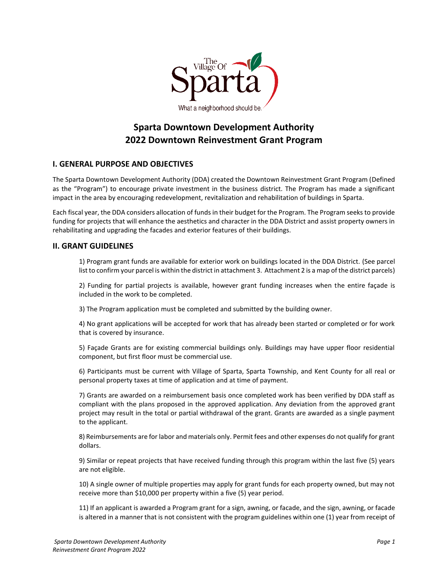

# **Sparta Downtown Development Authority 2022 Downtown Reinvestment Grant Program**

# **I. GENERAL PURPOSE AND OBJECTIVES**

The Sparta Downtown Development Authority (DDA) created the Downtown Reinvestment Grant Program (Defined as the "Program") to encourage private investment in the business district. The Program has made a significant impact in the area by encouraging redevelopment, revitalization and rehabilitation of buildings in Sparta.

Each fiscal year, the DDA considers allocation of funds in their budget for the Program. The Program seeks to provide funding for projects that will enhance the aesthetics and character in the DDA District and assist property owners in rehabilitating and upgrading the facades and exterior features of their buildings.

## **II. GRANT GUIDELINES**

1) Program grant funds are available for exterior work on buildings located in the DDA District. (See parcel list to confirm your parcel is within the district in attachment 3. Attachment 2 is a map of the district parcels)

2) Funding for partial projects is available, however grant funding increases when the entire façade is included in the work to be completed.

3) The Program application must be completed and submitted by the building owner.

4) No grant applications will be accepted for work that has already been started or completed or for work that is covered by insurance.

5) Façade Grants are for existing commercial buildings only. Buildings may have upper floor residential component, but first floor must be commercial use.

6) Participants must be current with Village of Sparta, Sparta Township, and Kent County for all real or personal property taxes at time of application and at time of payment.

7) Grants are awarded on a reimbursement basis once completed work has been verified by DDA staff as compliant with the plans proposed in the approved application. Any deviation from the approved grant project may result in the total or partial withdrawal of the grant. Grants are awarded as a single payment to the applicant.

8) Reimbursements are for labor and materials only. Permit fees and other expenses do not qualify for grant dollars.

9) Similar or repeat projects that have received funding through this program within the last five (5) years are not eligible.

10) A single owner of multiple properties may apply for grant funds for each property owned, but may not receive more than \$10,000 per property within a five (5) year period.

11) If an applicant is awarded a Program grant for a sign, awning, or facade, and the sign, awning, or facade is altered in a manner that is not consistent with the program guidelines within one (1) year from receipt of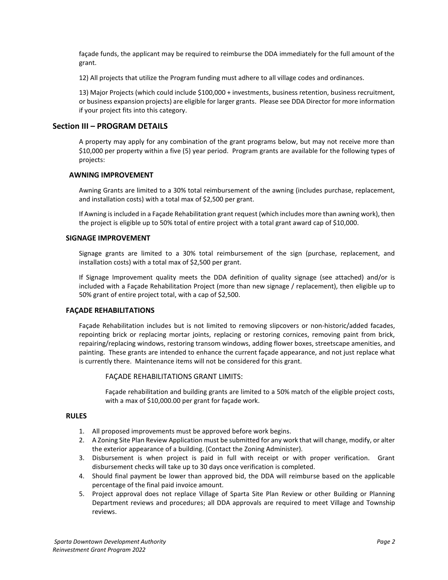façade funds, the applicant may be required to reimburse the DDA immediately for the full amount of the grant.

12) All projects that utilize the Program funding must adhere to all village codes and ordinances.

13) Major Projects (which could include \$100,000 + investments, business retention, business recruitment, or business expansion projects) are eligible for larger grants. Please see DDA Director for more information if your project fits into this category.

# **Section III – PROGRAM DETAILS**

A property may apply for any combination of the grant programs below, but may not receive more than \$10,000 per property within a five (5) year period. Program grants are available for the following types of projects:

## **AWNING IMPROVEMENT**

Awning Grants are limited to a 30% total reimbursement of the awning (includes purchase, replacement, and installation costs) with a total max of \$2,500 per grant.

If Awning is included in a Façade Rehabilitation grant request (which includes more than awning work), then the project is eligible up to 50% total of entire project with a total grant award cap of \$10,000.

#### **SIGNAGE IMPROVEMENT**

Signage grants are limited to a 30% total reimbursement of the sign (purchase, replacement, and installation costs) with a total max of \$2,500 per grant.

If Signage Improvement quality meets the DDA definition of quality signage (see attached) and/or is included with a Façade Rehabilitation Project (more than new signage / replacement), then eligible up to 50% grant of entire project total, with a cap of \$2,500.

## **FAÇADE REHABILITATIONS**

Façade Rehabilitation includes but is not limited to removing slipcovers or non-historic/added facades, repointing brick or replacing mortar joints, replacing or restoring cornices, removing paint from brick, repairing/replacing windows, restoring transom windows, adding flower boxes, streetscape amenities, and painting. These grants are intended to enhance the current façade appearance, and not just replace what is currently there. Maintenance items will not be considered for this grant.

FAÇADE REHABILITATIONS GRANT LIMITS:

Façade rehabilitation and building grants are limited to a 50% match of the eligible project costs, with a max of \$10,000.00 per grant for façade work.

## **RULES**

- 1. All proposed improvements must be approved before work begins.
- 2. A Zoning Site Plan Review Application must be submitted for any work that will change, modify, or alter the exterior appearance of a building. (Contact the Zoning Administer).
- 3. Disbursement is when project is paid in full with receipt or with proper verification. Grant disbursement checks will take up to 30 days once verification is completed.
- 4. Should final payment be lower than approved bid, the DDA will reimburse based on the applicable percentage of the final paid invoice amount.
- 5. Project approval does not replace Village of Sparta Site Plan Review or other Building or Planning Department reviews and procedures; all DDA approvals are required to meet Village and Township reviews.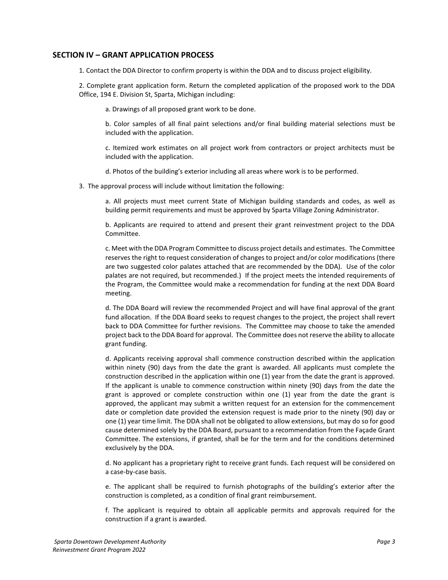## **SECTION IV – GRANT APPLICATION PROCESS**

1. Contact the DDA Director to confirm property is within the DDA and to discuss project eligibility.

2. Complete grant application form. Return the completed application of the proposed work to the DDA Office, 194 E. Division St, Sparta, Michigan including:

a. Drawings of all proposed grant work to be done.

b. Color samples of all final paint selections and/or final building material selections must be included with the application.

c. Itemized work estimates on all project work from contractors or project architects must be included with the application.

d. Photos of the building's exterior including all areas where work is to be performed.

3. The approval process will include without limitation the following:

a. All projects must meet current State of Michigan building standards and codes, as well as building permit requirements and must be approved by Sparta Village Zoning Administrator.

b. Applicants are required to attend and present their grant reinvestment project to the DDA Committee.

c. Meet with the DDA Program Committee to discuss project details and estimates. The Committee reserves the right to request consideration of changes to project and/or color modifications (there are two suggested color palates attached that are recommended by the DDA). Use of the color palates are not required, but recommended.) If the project meets the intended requirements of the Program, the Committee would make a recommendation for funding at the next DDA Board meeting.

d. The DDA Board will review the recommended Project and will have final approval of the grant fund allocation. If the DDA Board seeks to request changes to the project, the project shall revert back to DDA Committee for further revisions. The Committee may choose to take the amended project back to the DDA Board for approval. The Committee does not reserve the ability to allocate grant funding.

d. Applicants receiving approval shall commence construction described within the application within ninety (90) days from the date the grant is awarded. All applicants must complete the construction described in the application within one (1) year from the date the grant is approved. If the applicant is unable to commence construction within ninety (90) days from the date the grant is approved or complete construction within one (1) year from the date the grant is approved, the applicant may submit a written request for an extension for the commencement date or completion date provided the extension request is made prior to the ninety (90) day or one (1) year time limit. The DDA shall not be obligated to allow extensions, but may do so for good cause determined solely by the DDA Board, pursuant to a recommendation from the Façade Grant Committee. The extensions, if granted, shall be for the term and for the conditions determined exclusively by the DDA.

d. No applicant has a proprietary right to receive grant funds. Each request will be considered on a case-by-case basis.

e. The applicant shall be required to furnish photographs of the building's exterior after the construction is completed, as a condition of final grant reimbursement.

f. The applicant is required to obtain all applicable permits and approvals required for the construction if a grant is awarded.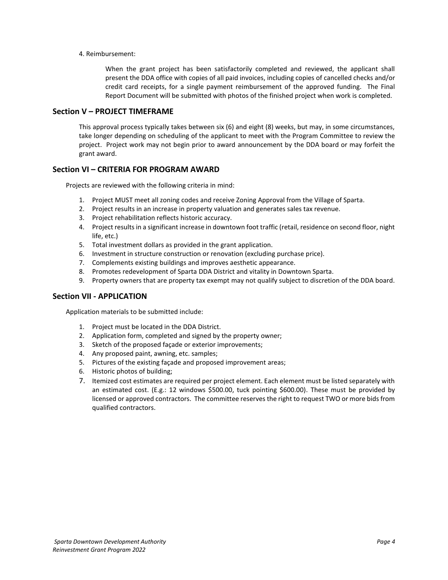#### 4. Reimbursement:

When the grant project has been satisfactorily completed and reviewed, the applicant shall present the DDA office with copies of all paid invoices, including copies of cancelled checks and/or credit card receipts, for a single payment reimbursement of the approved funding. The Final Report Document will be submitted with photos of the finished project when work is completed.

## **Section V – PROJECT TIMEFRAME**

This approval process typically takes between six (6) and eight (8) weeks, but may, in some circumstances, take longer depending on scheduling of the applicant to meet with the Program Committee to review the project. Project work may not begin prior to award announcement by the DDA board or may forfeit the grant award.

# **Section VI – CRITERIA FOR PROGRAM AWARD**

Projects are reviewed with the following criteria in mind:

- 1. Project MUST meet all zoning codes and receive Zoning Approval from the Village of Sparta.
- 2. Project results in an increase in property valuation and generates sales tax revenue.
- 3. Project rehabilitation reflects historic accuracy.
- 4. Project results in a significant increase in downtown foot traffic (retail, residence on second floor, night life, etc.)
- 5. Total investment dollars as provided in the grant application.
- 6. Investment in structure construction or renovation (excluding purchase price).
- 7. Complements existing buildings and improves aesthetic appearance.
- 8. Promotes redevelopment of Sparta DDA District and vitality in Downtown Sparta.
- 9. Property owners that are property tax exempt may not qualify subject to discretion of the DDA board.

## **Section VII - APPLICATION**

Application materials to be submitted include:

- 1. Project must be located in the DDA District.
- 2. Application form, completed and signed by the property owner;
- 3. Sketch of the proposed façade or exterior improvements;
- 4. Any proposed paint, awning, etc. samples;
- 5. Pictures of the existing façade and proposed improvement areas;
- 6. Historic photos of building;
- 7. Itemized cost estimates are required per project element. Each element must be listed separately with an estimated cost. (E.g.: 12 windows \$500.00, tuck pointing \$600.00). These must be provided by licensed or approved contractors. The committee reserves the right to request TWO or more bids from qualified contractors.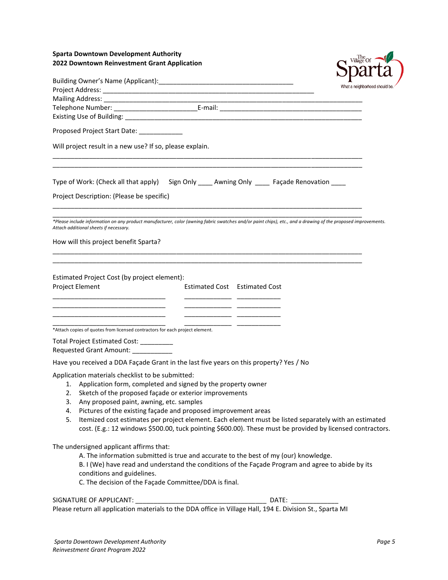# **Sparta Downtown Development Authority 2022 Downtown Reinvestment Grant Application**



|                                                                                                                                                                                                                                                                                                                                                                                                                                                                                                                                      | $\sim$ pour cor<br>What a neighborhood should be. |  |  |  |  |  |  |
|--------------------------------------------------------------------------------------------------------------------------------------------------------------------------------------------------------------------------------------------------------------------------------------------------------------------------------------------------------------------------------------------------------------------------------------------------------------------------------------------------------------------------------------|---------------------------------------------------|--|--|--|--|--|--|
|                                                                                                                                                                                                                                                                                                                                                                                                                                                                                                                                      |                                                   |  |  |  |  |  |  |
|                                                                                                                                                                                                                                                                                                                                                                                                                                                                                                                                      |                                                   |  |  |  |  |  |  |
|                                                                                                                                                                                                                                                                                                                                                                                                                                                                                                                                      |                                                   |  |  |  |  |  |  |
| Proposed Project Start Date: ___________                                                                                                                                                                                                                                                                                                                                                                                                                                                                                             |                                                   |  |  |  |  |  |  |
| Will project result in a new use? If so, please explain.                                                                                                                                                                                                                                                                                                                                                                                                                                                                             |                                                   |  |  |  |  |  |  |
| Type of Work: (Check all that apply) Sign Only _____ Awning Only _____ Façade Renovation _____                                                                                                                                                                                                                                                                                                                                                                                                                                       |                                                   |  |  |  |  |  |  |
| Project Description: (Please be specific)                                                                                                                                                                                                                                                                                                                                                                                                                                                                                            |                                                   |  |  |  |  |  |  |
| *Please include information on any product manufacturer, color (awning fabric swatches and/or paint chips), etc., and a drawing of the proposed improvements.<br>Attach additional sheets if necessary.                                                                                                                                                                                                                                                                                                                              |                                                   |  |  |  |  |  |  |
| How will this project benefit Sparta?                                                                                                                                                                                                                                                                                                                                                                                                                                                                                                |                                                   |  |  |  |  |  |  |
| Estimated Project Cost (by project element):<br><b>Project Element</b><br>Estimated Cost Estimated Cost                                                                                                                                                                                                                                                                                                                                                                                                                              |                                                   |  |  |  |  |  |  |
| *Attach copies of quotes from licensed contractors for each project element.                                                                                                                                                                                                                                                                                                                                                                                                                                                         |                                                   |  |  |  |  |  |  |
| Total Project Estimated Cost: __________<br>Requested Grant Amount: ____________                                                                                                                                                                                                                                                                                                                                                                                                                                                     |                                                   |  |  |  |  |  |  |
| Have you received a DDA Façade Grant in the last five years on this property? Yes / No                                                                                                                                                                                                                                                                                                                                                                                                                                               |                                                   |  |  |  |  |  |  |
| Application materials checklist to be submitted:<br>1. Application form, completed and signed by the property owner<br>2. Sketch of the proposed façade or exterior improvements<br>3. Any proposed paint, awning, etc. samples<br>Pictures of the existing façade and proposed improvement areas<br>4.<br>Itemized cost estimates per project element. Each element must be listed separately with an estimated<br>5.<br>cost. (E.g.: 12 windows \$500.00, tuck pointing \$600.00). These must be provided by licensed contractors. |                                                   |  |  |  |  |  |  |
| The undersigned applicant affirms that:<br>A. The information submitted is true and accurate to the best of my (our) knowledge.<br>B. I (We) have read and understand the conditions of the Façade Program and agree to abide by its<br>conditions and guidelines.<br>C. The decision of the Façade Committee/DDA is final.                                                                                                                                                                                                          |                                                   |  |  |  |  |  |  |
|                                                                                                                                                                                                                                                                                                                                                                                                                                                                                                                                      |                                                   |  |  |  |  |  |  |
|                                                                                                                                                                                                                                                                                                                                                                                                                                                                                                                                      |                                                   |  |  |  |  |  |  |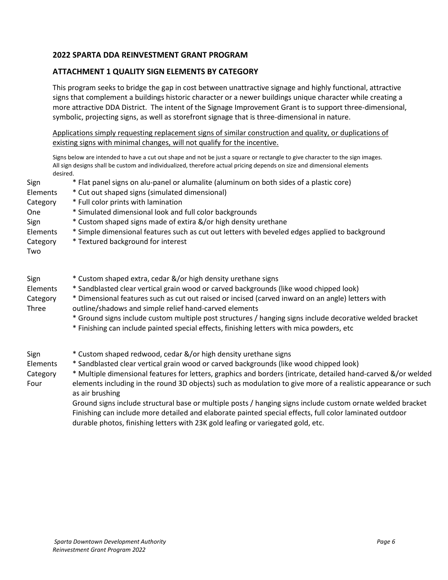# **2022 SPARTA DDA REINVESTMENT GRANT PROGRAM**

# **ATTACHMENT 1 QUALITY SIGN ELEMENTS BY CATEGORY**

This program seeks to bridge the gap in cost between unattractive signage and highly functional, attractive signs that complement a buildings historic character or a newer buildings unique character while creating a more attractive DDA District. The intent of the Signage Improvement Grant is to support three-dimensional, symbolic, projecting signs, as well as storefront signage that is three-dimensional in nature.

Applications simply requesting replacement signs of similar construction and quality, or duplications of existing signs with minimal changes, will not qualify for the incentive.

Signs below are intended to have a cut out shape and not be just a square or rectangle to give character to the sign images. All sign designs shall be custom and individualized, therefore actual pricing depends on size and dimensional elements desired.

| Sign<br>Elements<br>Category<br>One<br>Sign<br>Elements<br>Category<br>Two | * Flat panel signs on alu-panel or alumalite (aluminum on both sides of a plastic core)<br>* Cut out shaped signs (simulated dimensional)<br>* Full color prints with lamination<br>* Simulated dimensional look and full color backgrounds<br>* Custom shaped signs made of extira &/or high density urethane<br>* Simple dimensional features such as cut out letters with beveled edges applied to background<br>* Textured background for interest                                                                                                                                                                                                                                                                        |
|----------------------------------------------------------------------------|-------------------------------------------------------------------------------------------------------------------------------------------------------------------------------------------------------------------------------------------------------------------------------------------------------------------------------------------------------------------------------------------------------------------------------------------------------------------------------------------------------------------------------------------------------------------------------------------------------------------------------------------------------------------------------------------------------------------------------|
| Sign<br>Elements<br>Category<br>Three                                      | * Custom shaped extra, cedar &/or high density urethane signs<br>* Sandblasted clear vertical grain wood or carved backgrounds (like wood chipped look)<br>* Dimensional features such as cut out raised or incised (carved inward on an angle) letters with<br>outline/shadows and simple relief hand-carved elements<br>* Ground signs include custom multiple post structures / hanging signs include decorative welded bracket<br>* Finishing can include painted special effects, finishing letters with mica powders, etc                                                                                                                                                                                               |
| Sign<br>Elements<br>Category<br>Four                                       | * Custom shaped redwood, cedar &/or high density urethane signs<br>* Sandblasted clear vertical grain wood or carved backgrounds (like wood chipped look)<br>* Multiple dimensional features for letters, graphics and borders (intricate, detailed hand-carved &/or welded<br>elements including in the round 3D objects) such as modulation to give more of a realistic appearance or such<br>as air brushing<br>Ground signs include structural base or multiple posts / hanging signs include custom ornate welded bracket<br>Finishing can include more detailed and elaborate painted special effects, full color laminated outdoor<br>durable photos, finishing letters with 23K gold leafing or variegated gold, etc. |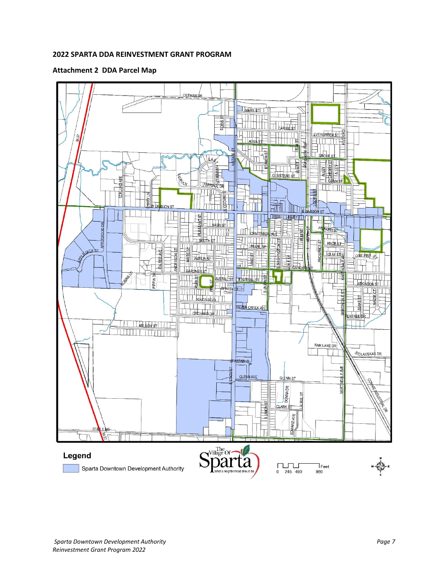# **2022 SPARTA DDA REINVESTMENT GRANT PROGRAM**

# **Attachment 2 DDA Parcel Map**

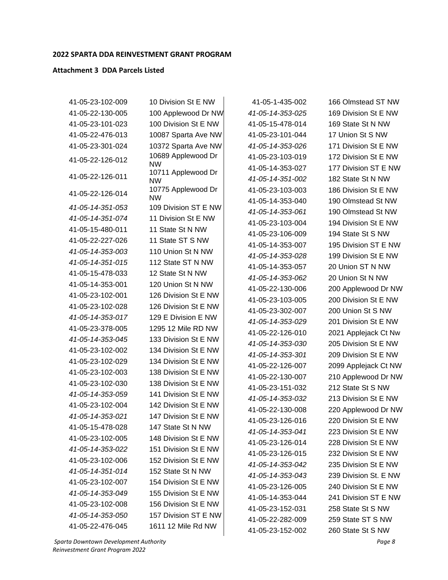#### **2022 SPARTA DDA REINVESTMENT GRANT PROGRAM**

#### **Attachment 3 DDA Parcels Listed**

41-05-23-102-009 10 Division St E NW 41-05-22-130-005 100 Applewood Dr NW 41-05-23-101-023 100 Division St E NW 41-05-22-476-013 10087 Sparta Ave NW 41-05-23-301-024 10372 Sparta Ave NW 41-05-22-126-012 10689 Applewood Dr NW 41-05-22-126-011 10711 Applewood Dr NW 41-05-22-126-014 10775 Applewood Dr NW *41-05-14-351-053* 109 Division ST E NW *41-05-14-351-074* 11 Division St E NW 41-05-15-480-011 11 State St N NW 41-05-22-227-026 11 State ST S NW *41-05-14-353-003* 110 Union St N NW *41-05-14-351-015* 112 State ST N NW 41-05-15-478-033 12 State St N NW 41-05-14-353-001 120 Union St N NW 41-05-23-102-001 126 Division St E NW 41-05-23-102-028 126 Division St E NW *41-05-14-353-017* 129 E Division E NW 41-05-23-378-005 1295 12 Mile RD NW *41-05-14-353-045* 133 Division St E NW 41-05-23-102-002 134 Division St E NW 41-05-23-102-029 134 Division St E NW 41-05-23-102-003 138 Division St E NW 41-05-23-102-030 138 Division St E NW *41-05-14-353-059* 141 Division St E NW 41-05-23-102-004 142 Division St E NW *41-05-14-353-021* 147 Division St E NW 41-05-15-478-028 147 State St N NW 41-05-23-102-005 148 Division St E NW *41-05-14-353-022* 151 Division St E NW 41-05-23-102-006 152 Division St E NW *41-05-14-351-014* 152 State St N NW 41-05-23-102-007 154 Division St E NW *41-05-14-353-049* 155 Division St E NW 41-05-23-102-008 156 Division St E NW *41-05-14-353-050* 157 Division ST E NW 41-05-22-476-045 1611 12 Mile Rd NW

41-05-1-435-002 166 Olmstead ST NW 41-05-15-478-014 169 State St N NW 41-05-23-101-044 17 Union St S NW *41-05-14-351-002* 182 State St N NW 41-05-23-106-009 194 State St S NW 41-05-14-353-057 20 Union ST N NW *41-05-14-353-062* 20 Union St N NW 41-05-23-151-032 212 State St S NW 41-05-23-152-031 258 State St S NW 41-05-23-152-002 260 State St S NW

*41-05-14-353-025* 169 Division St E NW *41-05-14-353-026* 171 Division St E NW 41-05-23-103-019 172 Division St E NW 41-05-14-353-027 177 Division ST E NW 41-05-23-103-003 186 Division St E NW 41-05-14-353-040 190 Olmstead St NW *41-05-14-353-061* 190 Olmstead St NW 41-05-23-103-004 194 Division St E NW 41-05-14-353-007 195 Division ST E NW *41-05-14-353-028* 199 Division St E NW 41-05-22-130-006 200 Applewood Dr NW 41-05-23-103-005 200 Division St E NW 41-05-23-302-007 200 Union St S NW *41-05-14-353-029* 201 Division St E NW 41-05-22-126-010 2021 Applejack Ct Nw *41-05-14-353-030* 205 Division St E NW *41-05-14-353-301* 209 Division St E NW 41-05-22-126-007 2099 Applejack Ct NW 41-05-22-130-007 210 Applewood Dr NW *41-05-14-353-032* 213 Division St E NW 41-05-22-130-008 220 Applewood Dr NW 41-05-23-126-016 220 Division St E NW *41-05-14-353-041* 223 Division St E NW 41-05-23-126-014 228 Division St E NW 41-05-23-126-015 232 Division St E NW *41-05-14-353-042* 235 Division St E NW *41-05-14-353-043* 239 Division St. E NW 41-05-23-126-005 240 Division St E NW 41-05-14-353-044 241 Division ST E NW 41-05-22-282-009 259 State ST S NW

*Sparta Downtown Development Authority Page 8 Reinvestment Grant Program 2022*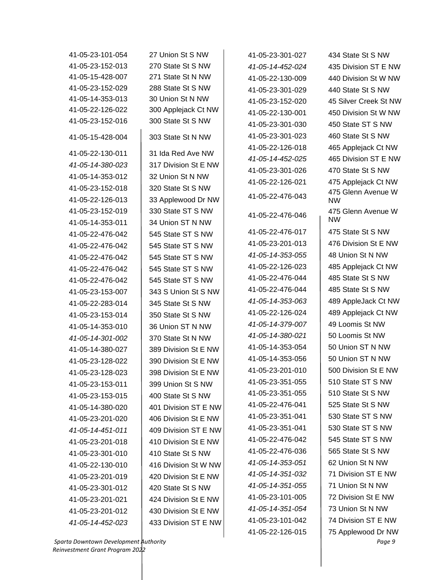| 41-05-23-101-054 | 27 Union St S NW     | 41-05-23-301-027 | 434 State St S NW               |
|------------------|----------------------|------------------|---------------------------------|
| 41-05-23-152-013 | 270 State St S NW    | 41-05-14-452-024 | 435 Division ST E NW            |
| 41-05-15-428-007 | 271 State St N NW    | 41-05-22-130-009 | 440 Division St W NW            |
| 41-05-23-152-029 | 288 State St S NW    | 41-05-23-301-029 | 440 State St S NW               |
| 41-05-14-353-013 | 30 Union St N NW     | 41-05-23-152-020 | 45 Silver Creek St NW           |
| 41-05-22-126-022 | 300 Applejack Ct NW  | 41-05-22-130-001 | 450 Division St W NW            |
| 41-05-23-152-016 | 300 State St S NW    | 41-05-23-301-030 | 450 State ST S NW               |
| 41-05-15-428-004 | 303 State St N NW    | 41-05-23-301-023 | 460 State St S NW               |
| 41-05-22-130-011 | 31 Ida Red Ave NW    | 41-05-22-126-018 | 465 Applejack Ct NW             |
|                  |                      | 41-05-14-452-025 | 465 Division ST E NW            |
| 41-05-14-380-023 | 317 Division St E NW | 41-05-23-301-026 | 470 State St S NW               |
| 41-05-14-353-012 | 32 Union St N NW     | 41-05-22-126-021 | 475 Applejack Ct NW             |
| 41-05-23-152-018 | 320 State St S NW    | 41-05-22-476-043 | 475 Glenn Avenue W              |
| 41-05-22-126-013 | 33 Applewood Dr NW   |                  | <b>NW</b>                       |
| 41-05-23-152-019 | 330 State ST S NW    | 41-05-22-476-046 | 475 Glenn Avenue W<br><b>NW</b> |
| 41-05-14-353-011 | 34 Union ST N NW     | 41-05-22-476-017 | 475 State St S NW               |
| 41-05-22-476-042 | 545 State ST S NW    | 41-05-23-201-013 | 476 Division St E NW            |
| 41-05-22-476-042 | 545 State ST S NW    |                  | 48 Union St N NW                |
| 41-05-22-476-042 | 545 State ST S NW    | 41-05-14-353-055 |                                 |
| 41-05-22-476-042 | 545 State ST S NW    | 41-05-22-126-023 | 485 Applejack Ct NW             |
| 41-05-22-476-042 | 545 State ST S NW    | 41-05-22-476-044 | 485 State St S NW               |
| 41-05-23-153-007 | 343 S Union St S NW  | 41-05-22-476-044 | 485 State St S NW               |
| 41-05-22-283-014 | 345 State St S NW    | 41-05-14-353-063 | 489 AppleJack Ct NW             |
| 41-05-23-153-014 | 350 State St S NW    | 41-05-22-126-024 | 489 Applejack Ct NW             |
| 41-05-14-353-010 | 36 Union ST N NW     | 41-05-14-379-007 | 49 Loomis St NW                 |
| 41-05-14-301-002 | 370 State St N NW    | 41-05-14-380-021 | 50 Loomis St NW                 |
| 41-05-14-380-027 | 389 Division St E NW | 41-05-14-353-054 | 50 Union ST N NW                |
| 41-05-23-128-022 | 390 Division St E NW | 41-05-14-353-056 | 50 Union ST N NW                |
| 41-05-23-128-023 | 398 Division St E NW | 41-05-23-201-010 | 500 Division St E NW            |
| 41-05-23-153-011 | 399 Union St S NW    | 41-05-23-351-055 | 510 State ST S NW               |
| 41-05-23-153-015 | 400 State St S NW    | 41-05-23-351-055 | 510 State St S NW               |
| 41-05-14-380-020 | 401 Division ST E NW | 41-05-22-476-041 | 525 State St S NW               |
| 41-05-23-201-020 | 406 Division St E NW | 41-05-23-351-041 | 530 State ST S NW               |
| 41-05-14-451-011 | 409 Division ST E NW | 41-05-23-351-041 | 530 State ST S NW               |
| 41-05-23-201-018 | 410 Division St E NW | 41-05-22-476-042 | 545 State ST S NW               |
| 41-05-23-301-010 | 410 State St S NW    | 41-05-22-476-036 | 565 State St S NW               |
| 41-05-22-130-010 | 416 Division St W NW | 41-05-14-353-051 | 62 Union St N NW                |
| 41-05-23-201-019 | 420 Division St E NW | 41-05-14-351-032 | 71 Division ST E NW             |
| 41-05-23-301-012 | 420 State St S NW    | 41-05-14-351-055 | 71 Union St N NW                |
| 41-05-23-201-021 | 424 Division St E NW | 41-05-23-101-005 | 72 Division St E NW             |
| 41-05-23-201-012 | 430 Division St E NW | 41-05-14-351-054 | 73 Union St N NW                |
| 41-05-14-452-023 | 433 Division ST E NW | 41-05-23-101-042 | 74 Division ST E NW             |
|                  |                      | 41-05-22-126-015 | 75 Applewood Dr NW              |
|                  |                      |                  |                                 |

*Sparta Downtown Development Authority Page 9 Reinvestment Grant Program 2022*